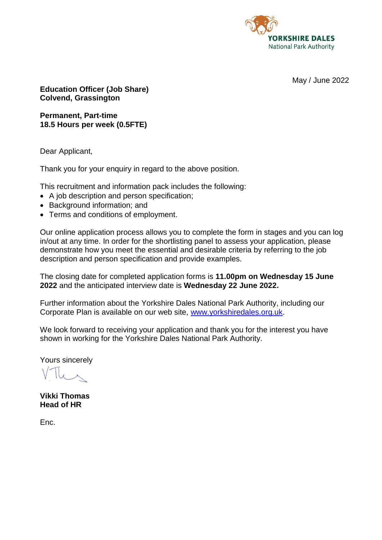

May / June 2022

**Education Officer (Job Share) Colvend, Grassington**

**Permanent, Part-time 18.5 Hours per week (0.5FTE)**

Dear Applicant,

Thank you for your enquiry in regard to the above position.

This recruitment and information pack includes the following:

- A job description and person specification;
- Background information; and
- Terms and conditions of employment.

Our online application process allows you to complete the form in stages and you can log in/out at any time. In order for the shortlisting panel to assess your application, please demonstrate how you meet the essential and desirable criteria by referring to the job description and person specification and provide examples.

The closing date for completed application forms is **11.00pm on Wednesday 15 June 2022** and the anticipated interview date is **Wednesday 22 June 2022.**

Further information about the Yorkshire Dales National Park Authority, including our Corporate Plan is available on our web site, [www.yorkshiredales.org.uk.](http://www.yorkshiredales.org.uk/)

We look forward to receiving your application and thank you for the interest you have shown in working for the Yorkshire Dales National Park Authority.

Yours sincerely

**Vikki Thomas Head of HR**

Enc.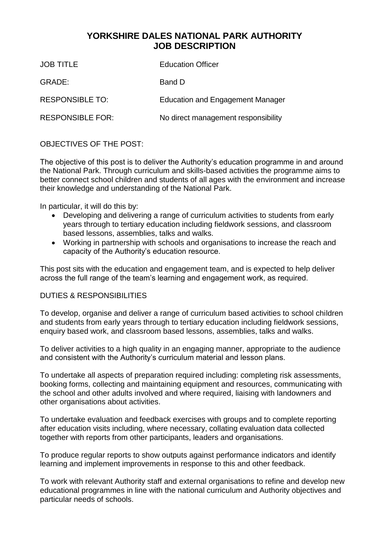# **YORKSHIRE DALES NATIONAL PARK AUTHORITY JOB DESCRIPTION**

| <b>JOB TITLE</b>        | <b>Education Officer</b>            |
|-------------------------|-------------------------------------|
| GRADE:                  | Band D                              |
| <b>RESPONSIBLE TO:</b>  | Education and Engagement Manager    |
| <b>RESPONSIBLE FOR:</b> | No direct management responsibility |

# OBJECTIVES OF THE POST:

The objective of this post is to deliver the Authority's education programme in and around the National Park. Through curriculum and skills-based activities the programme aims to better connect school children and students of all ages with the environment and increase their knowledge and understanding of the National Park.

In particular, it will do this by:

- Developing and delivering a range of curriculum activities to students from early years through to tertiary education including fieldwork sessions, and classroom based lessons, assemblies, talks and walks.
- Working in partnership with schools and organisations to increase the reach and capacity of the Authority's education resource.

This post sits with the education and engagement team, and is expected to help deliver across the full range of the team's learning and engagement work, as required.

#### DUTIES & RESPONSIBILITIES

To develop, organise and deliver a range of curriculum based activities to school children and students from early years through to tertiary education including fieldwork sessions, enquiry based work, and classroom based lessons, assemblies, talks and walks.

To deliver activities to a high quality in an engaging manner, appropriate to the audience and consistent with the Authority's curriculum material and lesson plans.

To undertake all aspects of preparation required including: completing risk assessments, booking forms, collecting and maintaining equipment and resources, communicating with the school and other adults involved and where required, liaising with landowners and other organisations about activities.

To undertake evaluation and feedback exercises with groups and to complete reporting after education visits including, where necessary, collating evaluation data collected together with reports from other participants, leaders and organisations.

To produce regular reports to show outputs against performance indicators and identify learning and implement improvements in response to this and other feedback.

To work with relevant Authority staff and external organisations to refine and develop new educational programmes in line with the national curriculum and Authority objectives and particular needs of schools.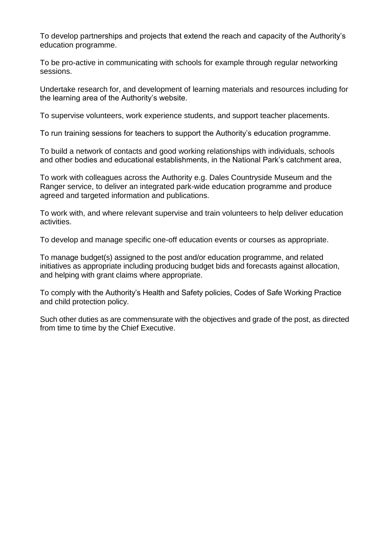To develop partnerships and projects that extend the reach and capacity of the Authority's education programme.

To be pro-active in communicating with schools for example through regular networking sessions.

Undertake research for, and development of learning materials and resources including for the learning area of the Authority's website.

To supervise volunteers, work experience students, and support teacher placements.

To run training sessions for teachers to support the Authority's education programme.

To build a network of contacts and good working relationships with individuals, schools and other bodies and educational establishments, in the National Park's catchment area,

To work with colleagues across the Authority e.g. Dales Countryside Museum and the Ranger service, to deliver an integrated park-wide education programme and produce agreed and targeted information and publications.

To work with, and where relevant supervise and train volunteers to help deliver education activities.

To develop and manage specific one-off education events or courses as appropriate.

To manage budget(s) assigned to the post and/or education programme, and related initiatives as appropriate including producing budget bids and forecasts against allocation, and helping with grant claims where appropriate.

To comply with the Authority's Health and Safety policies, Codes of Safe Working Practice and child protection policy.

Such other duties as are commensurate with the objectives and grade of the post, as directed from time to time by the Chief Executive.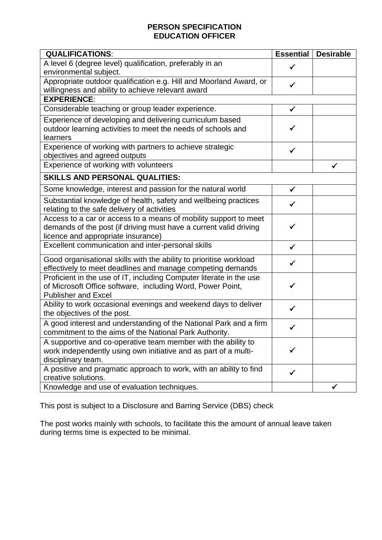## **PERSON SPECIFICATION EDUCATION OFFICER**

| <b>QUALIFICATIONS:</b>                                                                                                                                                      | <b>Essential</b> | <b>Desirable</b> |  |
|-----------------------------------------------------------------------------------------------------------------------------------------------------------------------------|------------------|------------------|--|
| A level 6 (degree level) qualification, preferably in an<br>environmental subject.                                                                                          | $\checkmark$     |                  |  |
| Appropriate outdoor qualification e.g. Hill and Moorland Award, or<br>willingness and ability to achieve relevant award                                                     |                  |                  |  |
| <b>EXPERIENCE:</b>                                                                                                                                                          |                  |                  |  |
| Considerable teaching or group leader experience.                                                                                                                           | $\checkmark$     |                  |  |
| Experience of developing and delivering curriculum based<br>outdoor learning activities to meet the needs of schools and<br>learners                                        | ✓                |                  |  |
| Experience of working with partners to achieve strategic<br>objectives and agreed outputs                                                                                   | $\checkmark$     |                  |  |
| Experience of working with volunteers                                                                                                                                       |                  | ✓                |  |
| <b>SKILLS AND PERSONAL QUALITIES:</b>                                                                                                                                       |                  |                  |  |
| Some knowledge, interest and passion for the natural world                                                                                                                  | $\checkmark$     |                  |  |
| Substantial knowledge of health, safety and wellbeing practices<br>relating to the safe delivery of activities                                                              | ✓                |                  |  |
| Access to a car or access to a means of mobility support to meet<br>demands of the post (if driving must have a current valid driving<br>licence and appropriate insurance) | ✓                |                  |  |
| Excellent communication and inter-personal skills                                                                                                                           | $\checkmark$     |                  |  |
| Good organisational skills with the ability to prioritise workload<br>effectively to meet deadlines and manage competing demands                                            | ✓                |                  |  |
| Proficient in the use of IT, including Computer literate in the use<br>of Microsoft Office software, including Word, Power Point,<br><b>Publisher and Excel</b>             |                  |                  |  |
| Ability to work occasional evenings and weekend days to deliver<br>the objectives of the post.                                                                              | ✓                |                  |  |
| A good interest and understanding of the National Park and a firm<br>commitment to the aims of the National Park Authority.                                                 |                  |                  |  |
| A supportive and co-operative team member with the ability to<br>work independently using own initiative and as part of a multi-<br>disciplinary team.                      |                  |                  |  |
| A positive and pragmatic approach to work, with an ability to find<br>creative solutions.                                                                                   | ✔                |                  |  |
| Knowledge and use of evaluation techniques.                                                                                                                                 |                  |                  |  |

This post is subject to a Disclosure and Barring Service (DBS) check

The post works mainly with schools, to facilitate this the amount of annual leave taken during terms time is expected to be minimal.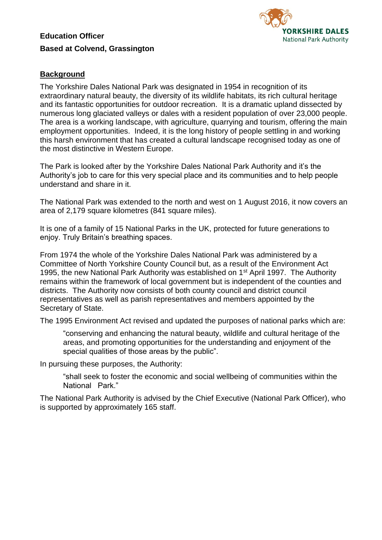# **Education Officer Based at Colvend, Grassington**



# **Background**

The Yorkshire Dales National Park was designated in 1954 in recognition of its extraordinary natural beauty, the diversity of its wildlife habitats, its rich cultural heritage and its fantastic opportunities for outdoor recreation. It is a dramatic upland dissected by numerous long glaciated valleys or dales with a resident population of over 23,000 people. The area is a working landscape, with agriculture, quarrying and tourism, offering the main employment opportunities. Indeed, it is the long history of people settling in and working this harsh environment that has created a cultural landscape recognised today as one of the most distinctive in Western Europe.

The Park is looked after by the Yorkshire Dales National Park Authority and it's the Authority's job to care for this very special place and its communities and to help people understand and share in it.

The National Park was extended to the north and west on 1 August 2016, it now covers an area of 2,179 square kilometres (841 square miles).

It is one of a family of 15 National Parks in the UK, protected for future generations to enjoy. Truly Britain's breathing spaces.

From 1974 the whole of the Yorkshire Dales National Park was administered by a Committee of North Yorkshire County Council but, as a result of the Environment Act 1995, the new National Park Authority was established on 1<sup>st</sup> April 1997. The Authority remains within the framework of local government but is independent of the counties and districts. The Authority now consists of both county council and district council representatives as well as parish representatives and members appointed by the Secretary of State.

The 1995 Environment Act revised and updated the purposes of national parks which are:

"conserving and enhancing the natural beauty, wildlife and cultural heritage of the areas, and promoting opportunities for the understanding and enjoyment of the special qualities of those areas by the public".

In pursuing these purposes, the Authority:

"shall seek to foster the economic and social wellbeing of communities within the National Park."

The National Park Authority is advised by the Chief Executive (National Park Officer), who is supported by approximately 165 staff.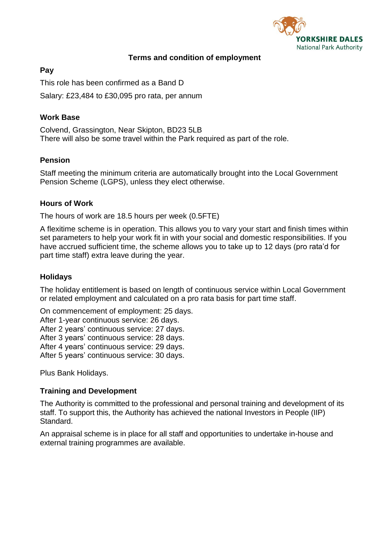

#### **Terms and condition of employment**

#### **Pay**

This role has been confirmed as a Band D Salary: £23,484 to £30,095 pro rata, per annum

## **Work Base**

Colvend, Grassington, Near Skipton, BD23 5LB There will also be some travel within the Park required as part of the role.

## **Pension**

Staff meeting the minimum criteria are automatically brought into the Local Government Pension Scheme (LGPS), unless they elect otherwise.

## **Hours of Work**

The hours of work are 18.5 hours per week (0.5FTE)

A flexitime scheme is in operation. This allows you to vary your start and finish times within set parameters to help your work fit in with your social and domestic responsibilities. If you have accrued sufficient time, the scheme allows you to take up to 12 days (pro rata'd for part time staff) extra leave during the year.

## **Holidays**

The holiday entitlement is based on length of continuous service within Local Government or related employment and calculated on a pro rata basis for part time staff.

On commencement of employment: 25 days.

After 1-year continuous service: 26 days.

After 2 years' continuous service: 27 days.

After 3 years' continuous service: 28 days.

After 4 years' continuous service: 29 days.

After 5 years' continuous service: 30 days.

Plus Bank Holidays.

## **Training and Development**

The Authority is committed to the professional and personal training and development of its staff. To support this, the Authority has achieved the national Investors in People (IIP) Standard.

An appraisal scheme is in place for all staff and opportunities to undertake in-house and external training programmes are available.